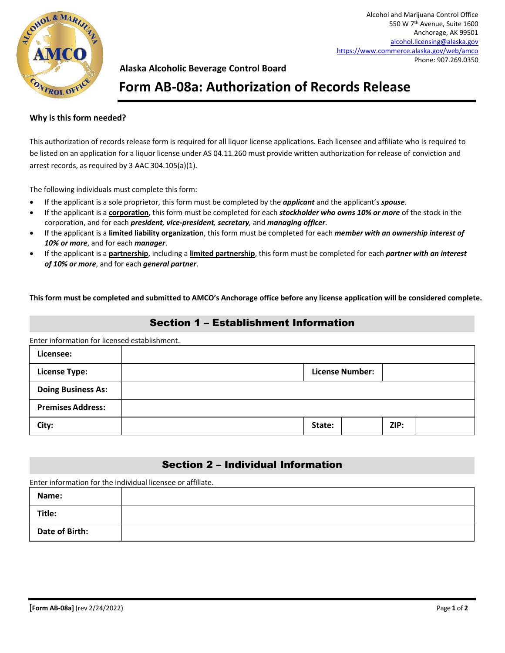

## **Alaska Alcoholic Beverage Control Board**

# **Form AB-08a: Authorization of Records Release**

#### **Why is this form needed?**

This authorization of records release form is required for all liquor license applications. Each licensee and affiliate who is required to be listed on an application for a liquor license under AS 04.11.260 must provide written authorization for release of conviction and arrest records, as required by 3 AAC 304.105(a)(1).

The following individuals must complete this form:

- If the applicant is a sole proprietor, this form must be completed by the *applicant* and the applicant's *spouse*.
- If the applicant is a **corporation**, this form must be completed for each *stockholder who owns 10% or more* of the stock in the corporation, and for each *president, vice-president, secretary,* and *managing officer*.
- If the applicant is a **limited liability organization**, this form must be completed for each *member with an ownership interest of 10% or more*, and for each *manager*.
- If the applicant is a **partnership**, including a **limited partnership**, this form must be completed for each *partner with an interest of 10% or more*, and for each *general partner*.

**This form must be completed and submitted to AMCO's Anchorage office before any license application will be considered complete.**

### Section 1 – Establishment Information

Enter information for licensed establishment.

| Licensee:                 |                        |  |      |  |
|---------------------------|------------------------|--|------|--|
| <b>License Type:</b>      | <b>License Number:</b> |  |      |  |
| <b>Doing Business As:</b> |                        |  |      |  |
| <b>Premises Address:</b>  |                        |  |      |  |
| City:                     | State:                 |  | ZIP: |  |

## Section 2 – Individual Information

Enter information for the individual licensee or affiliate.

| Name:          |  |
|----------------|--|
| Title:         |  |
| Date of Birth: |  |